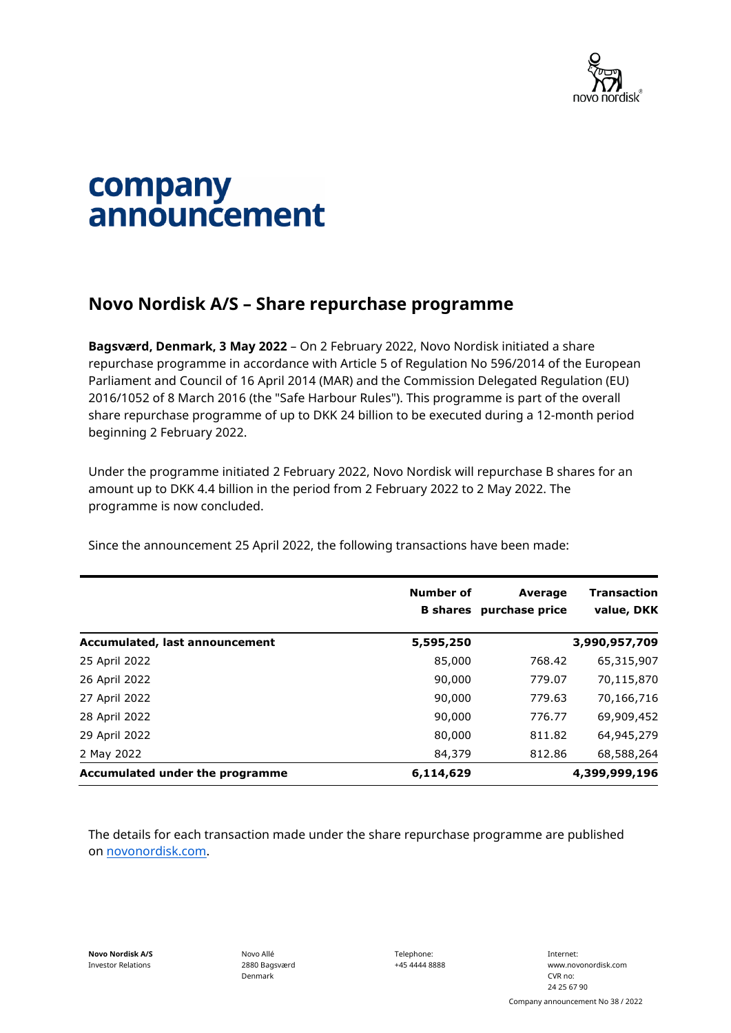

## company announcement

## **Novo Nordisk A/S – Share repurchase programme**

**Bagsværd, Denmark, 3 May 2022** – On 2 February 2022, Novo Nordisk initiated a share repurchase programme in accordance with Article 5 of Regulation No 596/2014 of the European Parliament and Council of 16 April 2014 (MAR) and the Commission Delegated Regulation (EU) 2016/1052 of 8 March 2016 (the "Safe Harbour Rules"). This programme is part of the overall share repurchase programme of up to DKK 24 billion to be executed during a 12-month period beginning 2 February 2022.

Under the programme initiated 2 February 2022, Novo Nordisk will repurchase B shares for an amount up to DKK 4.4 billion in the period from 2 February 2022 to 2 May 2022. The programme is now concluded.

Since the announcement 25 April 2022, the following transactions have been made:

|                                 | <b>Number of</b><br><b>B</b> shares | <b>Average</b><br>purchase price | Transaction<br>value, DKK |
|---------------------------------|-------------------------------------|----------------------------------|---------------------------|
| Accumulated, last announcement  | 5,595,250                           |                                  | 3,990,957,709             |
| 25 April 2022                   | 85,000                              | 768.42                           | 65,315,907                |
| 26 April 2022                   | 90,000                              | 779.07                           | 70,115,870                |
| 27 April 2022                   | 90,000                              | 779.63                           | 70,166,716                |
| 28 April 2022                   | 90,000                              | 776.77                           | 69,909,452                |
| 29 April 2022                   | 80,000                              | 811.82                           | 64,945,279                |
| 2 May 2022                      | 84,379                              | 812.86                           | 68,588,264                |
| Accumulated under the programme | 6,114,629                           |                                  | 4,399,999,196             |

The details for each transaction made under the share repurchase programme are published on [novonordisk.com.](https://www.novonordisk.com/news-and-media/news-and-ir-materials.html)

**Novo Nordisk A/S** Investor Relations

Novo Allé 2880 Bagsværd Denmark

Telephone: +45 4444 8888